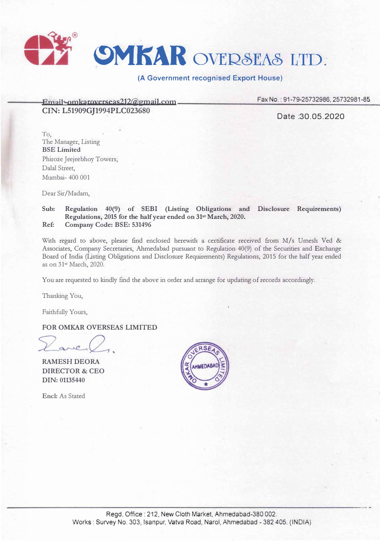

## **(A Government recognised Export House)**

**EroaiI·** awkarnxecseas212@groail.com **CIN: L51909GJ1994PLC023680** 

Fax No.: 91-79-25732986, 25732981-85

Date:30.05.2020

To, The Manager, Listing BSELimited Phiroze Jeejeebhoy Towers, Dalal Street, Mumbai- 400 001

Dear Sir/Madam,

## Sub: Regulation 40(9) of SEBI (Listing Obligations and Disclosure Requirements) Regulations, 2015 for the half year ended on 31" March, 2020. Ref: Company Code: BSE: 531496

With regard to above, please find enclosed herewith a certificate received from M/s Umesh Ved & Associates, Company Secretaries, Ahmedabad pursuant to Regulation 40(9) of the Securities and Exchange Board of India (Listing Obligations and Disclosure Requirements) Regulations, 2015 for the half year ended as on 31<sup>st</sup> March, 2020.

You are requested to kindly find the above in order and arrange for updating of records accordingly.

Thanking You,

Faithfully Yours,

FOR OMKAR OVERSEAS LIMITED

 $ne$ 

RAMESH DEORA DIRECTOR & CEO DIN: 01135440

Encl: As Stated